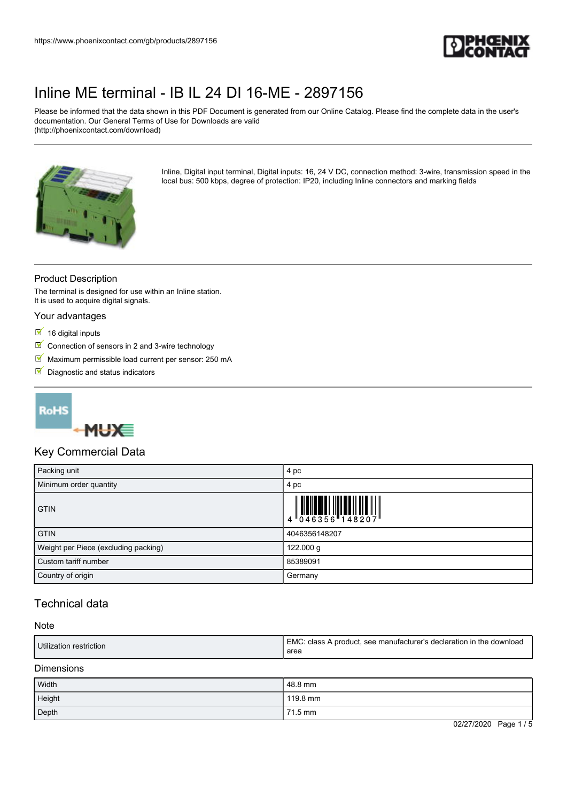

Please be informed that the data shown in this PDF Document is generated from our Online Catalog. Please find the complete data in the user's documentation. Our General Terms of Use for Downloads are valid (http://phoenixcontact.com/download)



Inline, Digital input terminal, Digital inputs: 16, 24 V DC, connection method: 3-wire, transmission speed in the local bus: 500 kbps, degree of protection: IP20, including Inline connectors and marking fields

## Product Description

The terminal is designed for use within an Inline station. It is used to acquire digital signals.

#### Your advantages

- $16$  digital inputs
- $\triangleright$  Connection of sensors in 2 and 3-wire technology
- Maximum permissible load current per sensor: 250 mA
- $\blacksquare$  Diagnostic and status indicators





## Key Commercial Data

| Packing unit                         | 4 pc                                                                                                                                                                                                                                                                                                                                                                                                                                                                                                                                                                                      |
|--------------------------------------|-------------------------------------------------------------------------------------------------------------------------------------------------------------------------------------------------------------------------------------------------------------------------------------------------------------------------------------------------------------------------------------------------------------------------------------------------------------------------------------------------------------------------------------------------------------------------------------------|
| Minimum order quantity               | 4 pc                                                                                                                                                                                                                                                                                                                                                                                                                                                                                                                                                                                      |
| <b>GTIN</b>                          | $\begin{array}{c} \begin{array}{c} \begin{array}{c} \end{array}\\ \begin{array}{c} \end{array}\\ \begin{array}{c} \end{array}\\ \begin{array}{c} \end{array}\\ \begin{array}{c} \end{array}\\ \begin{array}{c} \end{array}\\ \begin{array}{c} \end{array}\\ \begin{array}{c} \end{array}\\ \begin{array}{c} \end{array}\\ \begin{array}{c} \end{array}\\ \begin{array}{c} \end{array}\\ \begin{array}{c} \end{array}\\ \begin{array}{c} \end{array}\\ \begin{array}{c} \end{array}\\ \begin{array}{c} \end{array}\\ \begin{array}{c} \end{array}\\ \begin{array}{c} \end{array}\\ \begin$ |
| <b>GTIN</b>                          | 4046356148207                                                                                                                                                                                                                                                                                                                                                                                                                                                                                                                                                                             |
| Weight per Piece (excluding packing) | 122.000 g                                                                                                                                                                                                                                                                                                                                                                                                                                                                                                                                                                                 |
| Custom tariff number                 | 85389091                                                                                                                                                                                                                                                                                                                                                                                                                                                                                                                                                                                  |
| Country of origin                    | Germany                                                                                                                                                                                                                                                                                                                                                                                                                                                                                                                                                                                   |

## Technical data

### Note

Dimensions

| Width  | 48.8 mm  |
|--------|----------|
| Height | 119.8 mm |
| Depth  | 71.5 mm  |

02/27/2020 Page 1 / 5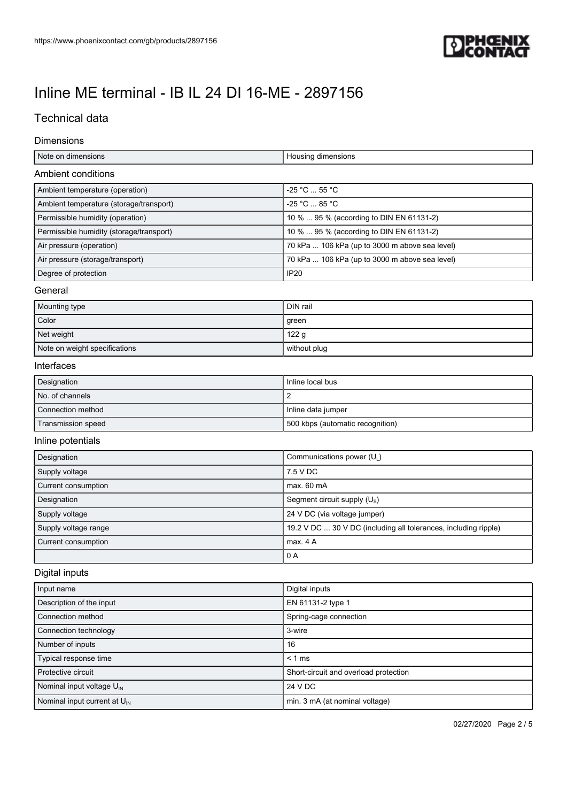

# Technical data

#### Dimensions

| Note on dimensions                       | Housing dimensions                                              |
|------------------------------------------|-----------------------------------------------------------------|
| <b>Ambient conditions</b>                |                                                                 |
| Ambient temperature (operation)          | -25 °C  55 °C                                                   |
| Ambient temperature (storage/transport)  | -25 °C  85 °C                                                   |
| Permissible humidity (operation)         | 10 %  95 % (according to DIN EN 61131-2)                        |
| Permissible humidity (storage/transport) | 10 %  95 % (according to DIN EN 61131-2)                        |
| Air pressure (operation)                 | 70 kPa  106 kPa (up to 3000 m above sea level)                  |
| Air pressure (storage/transport)         | 70 kPa  106 kPa (up to 3000 m above sea level)                  |
| Degree of protection                     | <b>IP20</b>                                                     |
| General                                  |                                                                 |
| Mounting type                            | DIN rail                                                        |
| Color                                    | green                                                           |
| Net weight                               | 122g                                                            |
| Note on weight specifications            | without plug                                                    |
| Interfaces                               |                                                                 |
| Designation                              | Inline local bus                                                |
| No. of channels                          | $\overline{2}$                                                  |
| Connection method                        | Inline data jumper                                              |
| Transmission speed                       | 500 kbps (automatic recognition)                                |
| Inline potentials                        |                                                                 |
| Designation                              | Communications power $(U_1)$                                    |
| Supply voltage                           | 7.5 V DC                                                        |
| Current consumption                      | max. 60 mA                                                      |
| Designation                              | Segment circuit supply (U <sub>s</sub> )                        |
| Supply voltage                           | 24 V DC (via voltage jumper)                                    |
| Supply voltage range                     | 19.2 V DC  30 V DC (including all tolerances, including ripple) |
| Current consumption                      | max. 4 A                                                        |
|                                          | 0A                                                              |
| Digital inputs                           |                                                                 |
| Input name                               | Digital inputs                                                  |
|                                          |                                                                 |

| i iliput hallit                          | Diyildi ilipulə                       |
|------------------------------------------|---------------------------------------|
| Description of the input                 | EN 61131-2 type 1                     |
| Connection method                        | Spring-cage connection                |
| Connection technology                    | 3-wire                                |
| Number of inputs                         | 16                                    |
| Typical response time                    | $< 1$ ms                              |
| Protective circuit                       | Short-circuit and overload protection |
| Nominal input voltage $U_{\text{IN}}$    | 24 V DC                               |
| Nominal input current at U <sub>IN</sub> | min. 3 mA (at nominal voltage)        |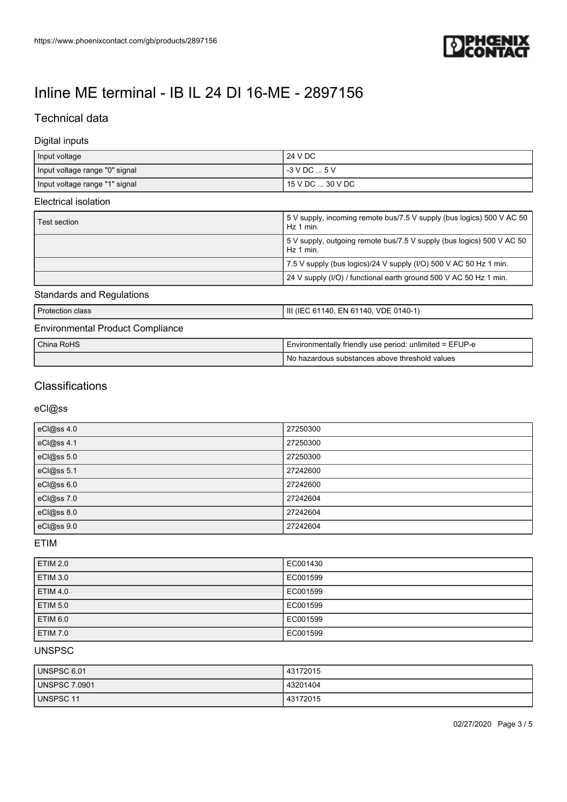

# Technical data

## Digital inputs

| Input voltage                  | 24 V DC          |
|--------------------------------|------------------|
| Input voltage range "0" signal | $-3$ V DC $$ 5 V |
| Input voltage range "1" signal | 15 V DC  30 V DC |

#### Electrical isolation

| Test section | 50 S V supply, incoming remote bus/7.5 V supply (bus logics) 500 V AC 50<br>Hz 1 min. |
|--------------|---------------------------------------------------------------------------------------|
|              | 5 V supply, outgoing remote bus/7.5 V supply (bus logics) 500 V AC 50<br>Hz 1 min.    |
|              | 7.5 V supply (bus logics)/24 V supply (I/O) 500 V AC 50 Hz 1 min.                     |
|              | 24 V supply (I/O) / functional earth ground 500 V AC 50 Hz 1 min.                     |

## Standards and Regulations

| <b>Protection class</b>                 | III (IEC 61140, EN 61140, VDE 0140-1)                   |
|-----------------------------------------|---------------------------------------------------------|
| <b>Environmental Product Compliance</b> |                                                         |
| China RoHS                              | Environmentally friendly use period: unlimited = EFUP-e |
|                                         | No hazardous substances above threshold values          |

# **Classifications**

eCl@ss

| eCl@ss 4.0 | 27250300 |
|------------|----------|
| eCl@ss 4.1 | 27250300 |
| eCl@ss 5.0 | 27250300 |
| eCl@ss 5.1 | 27242600 |
| eCl@ss 6.0 | 27242600 |
| eCl@ss 7.0 | 27242604 |
| eCl@ss 8.0 | 27242604 |
| eCl@ss 9.0 | 27242604 |

ETIM

| <b>ETIM 2.0</b> | EC001430 |
|-----------------|----------|
| <b>ETIM 3.0</b> | EC001599 |
| <b>ETIM 4.0</b> | EC001599 |
| <b>ETIM 5.0</b> | EC001599 |
| ETIM 6.0        | EC001599 |
| <b>ETIM 7.0</b> | EC001599 |

### UNSPSC

| UNSPSC 6.01          | 43172015 |
|----------------------|----------|
| <b>UNSPSC 7.0901</b> | 43201404 |
| UNSPSC 11            | 43172015 |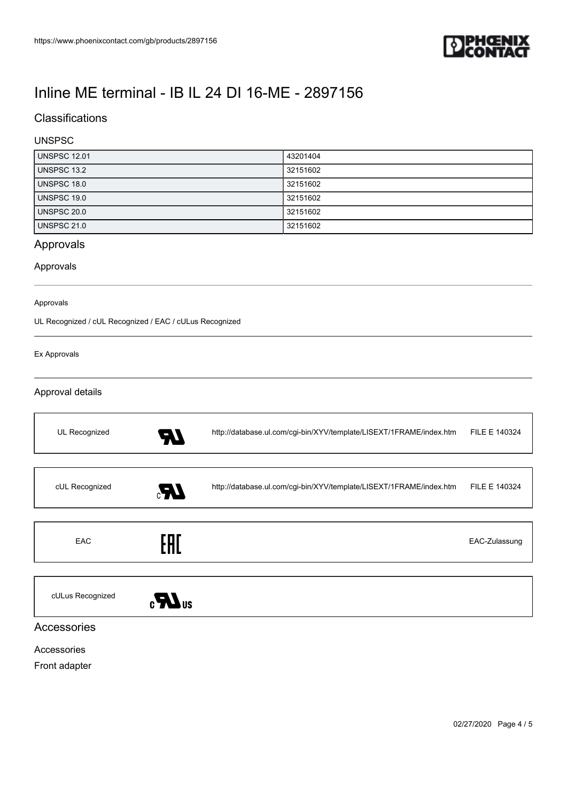

# **Classifications**

## UNSPSC

| <b>UNSPSC 12.01</b> | 43201404 |
|---------------------|----------|
| <b>UNSPSC 13.2</b>  | 32151602 |
| UNSPSC 18.0         | 32151602 |
| UNSPSC 19.0         | 32151602 |
| UNSPSC 20.0         | 32151602 |
| <b>UNSPSC 21.0</b>  | 32151602 |

# Approvals

### Approvals

#### Approvals

UL Recognized / cUL Recognized / EAC / cULus Recognized

#### Ex Approvals

### Approval details

| UL Recognized    | - 1 | http://database.ul.com/cgi-bin/XYV/template/LISEXT/1FRAME/index.htm | FILE E 140324 |
|------------------|-----|---------------------------------------------------------------------|---------------|
|                  |     |                                                                     |               |
| cUL Recognized   | Æ,  | http://database.ul.com/cgi-bin/XYV/template/LISEXT/1FRAME/index.htm | FILE E 140324 |
|                  |     |                                                                     |               |
| EAC              | EAD |                                                                     | EAC-Zulassung |
|                  |     |                                                                     |               |
| cULus Recognized |     |                                                                     |               |

Accessories

### Accessories

Front adapter